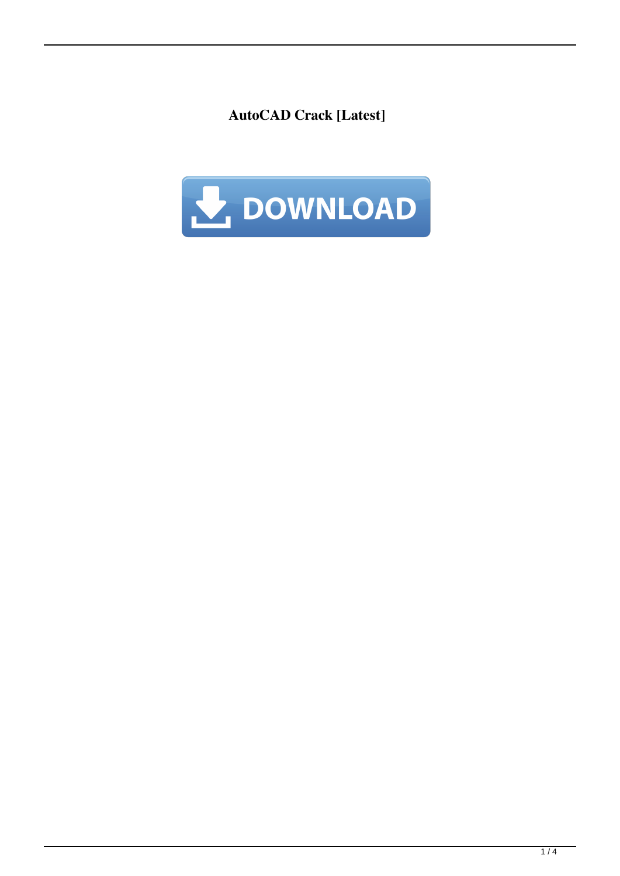**AutoCAD Crack [Latest]**

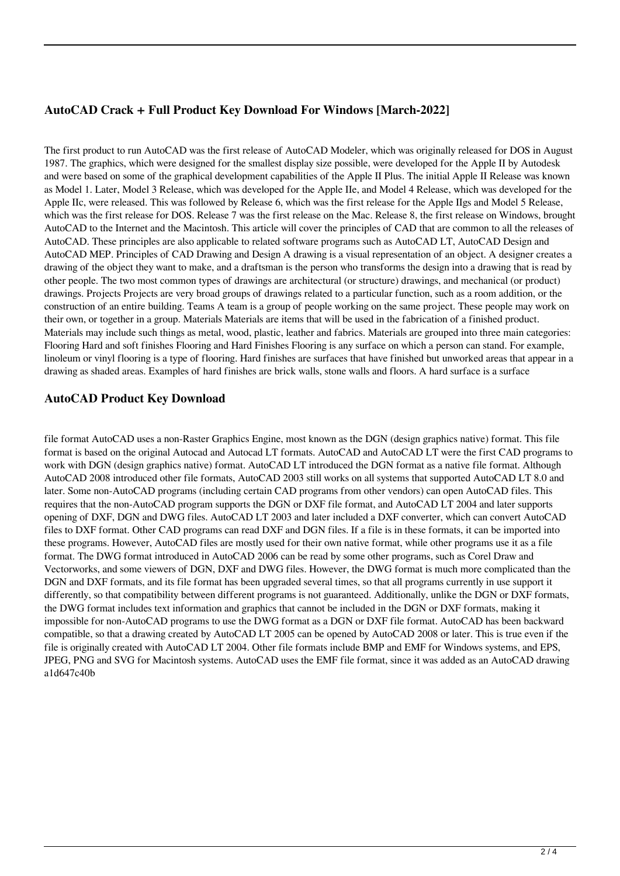## **AutoCAD Crack + Full Product Key Download For Windows [March-2022]**

The first product to run AutoCAD was the first release of AutoCAD Modeler, which was originally released for DOS in August 1987. The graphics, which were designed for the smallest display size possible, were developed for the Apple II by Autodesk and were based on some of the graphical development capabilities of the Apple II Plus. The initial Apple II Release was known as Model 1. Later, Model 3 Release, which was developed for the Apple IIe, and Model 4 Release, which was developed for the Apple IIc, were released. This was followed by Release 6, which was the first release for the Apple IIgs and Model 5 Release, which was the first release for DOS. Release 7 was the first release on the Mac. Release 8, the first release on Windows, brought AutoCAD to the Internet and the Macintosh. This article will cover the principles of CAD that are common to all the releases of AutoCAD. These principles are also applicable to related software programs such as AutoCAD LT, AutoCAD Design and AutoCAD MEP. Principles of CAD Drawing and Design A drawing is a visual representation of an object. A designer creates a drawing of the object they want to make, and a draftsman is the person who transforms the design into a drawing that is read by other people. The two most common types of drawings are architectural (or structure) drawings, and mechanical (or product) drawings. Projects Projects are very broad groups of drawings related to a particular function, such as a room addition, or the construction of an entire building. Teams A team is a group of people working on the same project. These people may work on their own, or together in a group. Materials Materials are items that will be used in the fabrication of a finished product. Materials may include such things as metal, wood, plastic, leather and fabrics. Materials are grouped into three main categories: Flooring Hard and soft finishes Flooring and Hard Finishes Flooring is any surface on which a person can stand. For example, linoleum or vinyl flooring is a type of flooring. Hard finishes are surfaces that have finished but unworked areas that appear in a drawing as shaded areas. Examples of hard finishes are brick walls, stone walls and floors. A hard surface is a surface

## **AutoCAD Product Key Download**

file format AutoCAD uses a non-Raster Graphics Engine, most known as the DGN (design graphics native) format. This file format is based on the original Autocad and Autocad LT formats. AutoCAD and AutoCAD LT were the first CAD programs to work with DGN (design graphics native) format. AutoCAD LT introduced the DGN format as a native file format. Although AutoCAD 2008 introduced other file formats, AutoCAD 2003 still works on all systems that supported AutoCAD LT 8.0 and later. Some non-AutoCAD programs (including certain CAD programs from other vendors) can open AutoCAD files. This requires that the non-AutoCAD program supports the DGN or DXF file format, and AutoCAD LT 2004 and later supports opening of DXF, DGN and DWG files. AutoCAD LT 2003 and later included a DXF converter, which can convert AutoCAD files to DXF format. Other CAD programs can read DXF and DGN files. If a file is in these formats, it can be imported into these programs. However, AutoCAD files are mostly used for their own native format, while other programs use it as a file format. The DWG format introduced in AutoCAD 2006 can be read by some other programs, such as Corel Draw and Vectorworks, and some viewers of DGN, DXF and DWG files. However, the DWG format is much more complicated than the DGN and DXF formats, and its file format has been upgraded several times, so that all programs currently in use support it differently, so that compatibility between different programs is not guaranteed. Additionally, unlike the DGN or DXF formats, the DWG format includes text information and graphics that cannot be included in the DGN or DXF formats, making it impossible for non-AutoCAD programs to use the DWG format as a DGN or DXF file format. AutoCAD has been backward compatible, so that a drawing created by AutoCAD LT 2005 can be opened by AutoCAD 2008 or later. This is true even if the file is originally created with AutoCAD LT 2004. Other file formats include BMP and EMF for Windows systems, and EPS, JPEG, PNG and SVG for Macintosh systems. AutoCAD uses the EMF file format, since it was added as an AutoCAD drawing a1d647c40b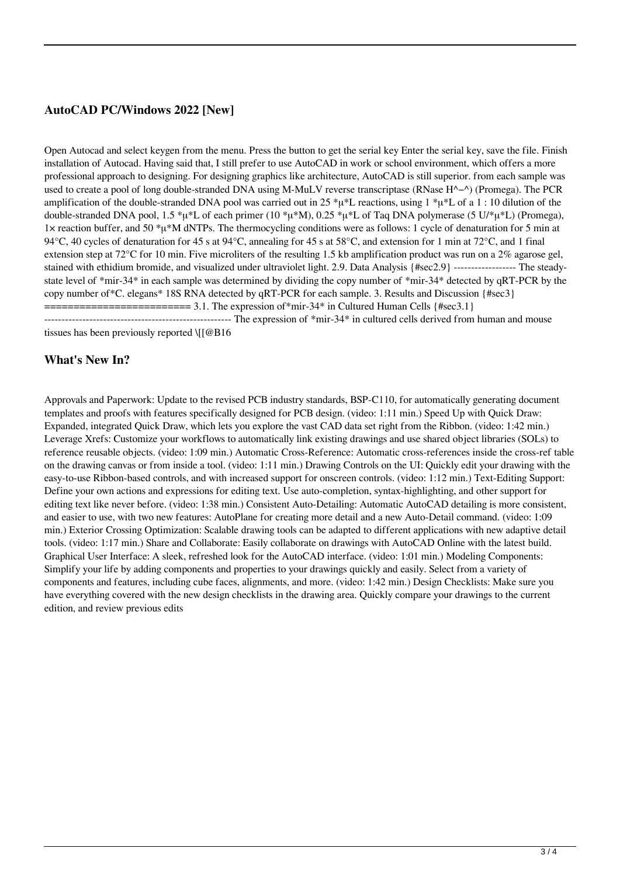# **AutoCAD PC/Windows 2022 [New]**

Open Autocad and select keygen from the menu. Press the button to get the serial key Enter the serial key, save the file. Finish installation of Autocad. Having said that, I still prefer to use AutoCAD in work or school environment, which offers a more professional approach to designing. For designing graphics like architecture, AutoCAD is still superior. from each sample was used to create a pool of long double-stranded DNA using M-MuLV reverse transcriptase (RNase H^−^) (Promega). The PCR amplification of the double-stranded DNA pool was carried out in 25  $* \mu * L$  reactions, using 1  $* \mu * L$  of a 1 : 10 dilution of the double-stranded DNA pool, 1.5 \*μ\*L of each primer (10 \*μ\*M), 0.25 \*μ\*L of Taq DNA polymerase (5 U/\*μ\*L) (Promega), 1× reaction buffer, and 50 \*μ\*M dNTPs. The thermocycling conditions were as follows: 1 cycle of denaturation for 5 min at 94 $^{\circ}$ C, 40 cycles of denaturation for 45 s at 94 $^{\circ}$ C, annealing for 45 s at 58 $^{\circ}$ C, and extension for 1 min at 72 $^{\circ}$ C, and 1 final extension step at  $72^{\circ}$ C for 10 min. Five microliters of the resulting 1.5 kb amplification product was run on a 2% agarose gel, stained with ethidium bromide, and visualized under ultraviolet light. 2.9. Data Analysis {#sec2.9} ------------------ The steadystate level of \*mir-34\* in each sample was determined by dividing the copy number of \*mir-34\* detected by qRT-PCR by the copy number of\*C. elegans\* 18S RNA detected by qRT-PCR for each sample. 3. Results and Discussion {#sec3} ========================= 3.1. The expression of\*mir-34\* in Cultured Human Cells {#sec3.1} ------------------------------------------------------ The expression of \*mir-34\* in cultured cells derived from human and mouse tissues has been previously reported \[[@B16

#### **What's New In?**

Approvals and Paperwork: Update to the revised PCB industry standards, BSP-C110, for automatically generating document templates and proofs with features specifically designed for PCB design. (video: 1:11 min.) Speed Up with Quick Draw: Expanded, integrated Quick Draw, which lets you explore the vast CAD data set right from the Ribbon. (video: 1:42 min.) Leverage Xrefs: Customize your workflows to automatically link existing drawings and use shared object libraries (SOLs) to reference reusable objects. (video: 1:09 min.) Automatic Cross-Reference: Automatic cross-references inside the cross-ref table on the drawing canvas or from inside a tool. (video: 1:11 min.) Drawing Controls on the UI: Quickly edit your drawing with the easy-to-use Ribbon-based controls, and with increased support for onscreen controls. (video: 1:12 min.) Text-Editing Support: Define your own actions and expressions for editing text. Use auto-completion, syntax-highlighting, and other support for editing text like never before. (video: 1:38 min.) Consistent Auto-Detailing: Automatic AutoCAD detailing is more consistent, and easier to use, with two new features: AutoPlane for creating more detail and a new Auto-Detail command. (video: 1:09 min.) Exterior Crossing Optimization: Scalable drawing tools can be adapted to different applications with new adaptive detail tools. (video: 1:17 min.) Share and Collaborate: Easily collaborate on drawings with AutoCAD Online with the latest build. Graphical User Interface: A sleek, refreshed look for the AutoCAD interface. (video: 1:01 min.) Modeling Components: Simplify your life by adding components and properties to your drawings quickly and easily. Select from a variety of components and features, including cube faces, alignments, and more. (video: 1:42 min.) Design Checklists: Make sure you have everything covered with the new design checklists in the drawing area. Quickly compare your drawings to the current edition, and review previous edits